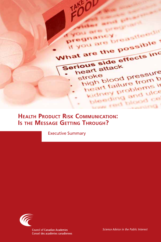

# **Health Product Risk Communication: Is the Message Getting Through?**

Executive Summary

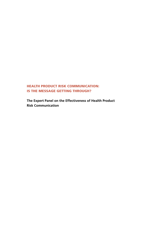## HEALTH PRODUCT RISK COMMUNICATION: IS THE MESSAGE GETTING THROUGH?

**The Expert Panel on the Effectiveness of Health Product Risk Communication**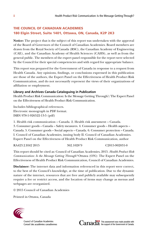## THE COUNCIL OF CANADIAN ACADEMIES 180 Elgin Street, Suite 1401, Ottawa, ON, Canada, K2P 2K3

**Notice:** The project that is the subject of this report was undertaken with the approval of the Board of Governors of the Council of Canadian Academies. Board members are drawn from the Royal Society of Canada (RSC), the Canadian Academy of Engineering (CAE), and the Canadian Academy of Health Sciences (CAHS), as well as from the general public. The members of the expert panel responsible for the report were selected by the Council for their special competencies and with regard for appropriate balance.

This report was prepared for the Government of Canada in response to a request from Health Canada. Any opinions, findings, or conclusions expressed in this publication are those of the authors, the Expert Panel on the Effectiveness of Health Product Risk Communication, and do not necessarily represent the views of their organizations of affiliation or employment.

#### **Library and Archives Canada Cataloguing in Publication**

Health Product Risk Communication: Is the Message Getting Through?/The Expert Panel on the Effectiveness of Health Product Risk Communication.

Includes bibliographical references. Electronic monograph in PDF format. ISBN 978-1-926522-13-5 (pdf)

1. Health risk communication – Canada. 2. Health risk assessment – Canada. 3. Consumer goods – Canada – Safety measures. 4. Consumer goods – Health aspects – Canada. 5. Consumer goods – Social aspects – Canada. 6. Consumer protection – Canada. I. Council of Canadian Academies, issuing body II. Council of Canadian Academies. Expert Panel on the Effectiveness of Health Product Risk Communication, author

RA423.2.H42 2015 362.1028'9 C2015-902831-0

This report should be cited as: Council of Canadian Academies, 2015. *Health Product Risk Communication: Is the Message Getting Through?* Ottawa (ON): The Expert Panel on the Effectiveness of Health Product Risk Communication, Council of Canadian Academies.

**Disclaimer:** The internet data and information referenced in this report were correct, to the best of the Council's knowledge, at the time of publication. Due to the dynamic nature of the internet, resources that are free and publicly available may subsequently require a fee or restrict access, and the location of items may change as menus and webpages are reorganized.

© 2015 Council of Canadian Academies

Printed in Ottawa, Canada



**Council of Canadian Academies** Conseil des académies canadiennes



This assessment was made possible with the support of the Government of Canada.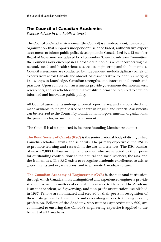### The Council of Canadian Academies

*Science Advice in the Public Interest*

The Council of Canadian Academies (the Council) is an independent, not-for-profit organization that supports independent, science-based, authoritative expert assessments to inform public policy development in Canada. Led by a 12-member Board of Governors and advised by a 16-member Scientific Advisory Committee, the Council's work encompasses a broad definition of *science*, incorporating the natural, social, and health sciences as well as engineering and the humanities. Council assessments are conducted by independent, multidisciplinary panels of experts from across Canada and abroad. Assessments strive to identify emerging issues, gaps in knowledge, Canadian strengths, and international trends and practices. Upon completion, assessments provide government decision-makers, researchers, and stakeholders with high-quality information required to develop informed and innovative public policy.

All Council assessments undergo a formal report review and are published and made available to the public free of charge in English and French. Assessments can be referred to the Council by foundations, non-governmental organizations, the private sector, or any level of government.

The Council is also supported by its three founding Member Academies:

**The Royal Society of Canada (RSC)** is the senior national body of distinguished Canadian scholars, artists, and scientists. The primary objective of the RSC is to promote learning and research in the arts and sciences. The RSC consists of nearly 2,000 Fellows — men and women who are selected by their peers for outstanding contributions to the natural and social sciences, the arts, and the humanities. The RSC exists to recognize academic excellence, to advise governments and organizations, and to promote Canadian culture.

**The Canadian Academy of Engineering (CAE)** is the national institution through which Canada's most distinguished and experienced engineers provide strategic advice on matters of critical importance to Canada. The Academy is an independent, self-governing, and non-profit organization established in 1987. Fellows are nominated and elected by their peers in recognition of their distinguished achievements and career-long service to the engineering profession. Fellows of the Academy, who number approximately 600, are committed to ensuring that Canada's engineering expertise is applied to the benefit of all Canadians.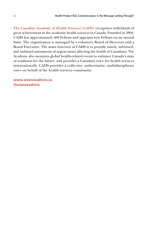**The Canadian Academy of Health Sciences (CAHS)** recognizes individuals of great achievement in the academic health sciences in Canada. Founded in 2004, CAHS has approximately 400 Fellows and appoints new Fellows on an annual basis. The organization is managed by a voluntary Board of Directors and a Board Executive. The main function of CAHS is to provide timely, informed, and unbiased assessments of urgent issues affecting the health of Canadians. The Academy also monitors global health-related events to enhance Canada's state of readiness for the future, and provides a Canadian voice for health sciences internationally. CAHS provides a collective, authoritative, multidisciplinary voice on behalf of the health sciences community.

www.scienceadvice.ca @scienceadvice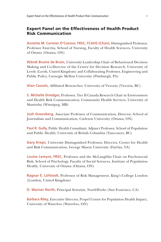## Expert Panel on the Effectiveness of Health Product Risk Communication

**Annette M. Cormier O'Connor, FRSC, FCAHS (Chair),** Distinguished Professor, Professor Emerita, School of Nursing, Faculty of Health Sciences, University of Ottawa (Ottawa, ON)

**Wändi Bruine de Bruin,** University Leadership Chair of Behavioural Decision Making and Co-Director of the Centre for Decision Research, University of Leeds (Leeds, United Kingdom) and Collaborating Professor, Engineering and Public Policy, Carnegie Mellon University (Pittsburgh, PA)

**Alan Cassels,** Affiliated Researcher, University of Victoria (Victoria, BC)

**S. Michelle Driedger,** Professor, Tier II Canada Research Chair in Environment and Health Risk Communication, Community Health Services, University of Manitoba (Winnipeg, MB)

**Josh Greenberg,** Associate Professor of Communication, Director, School of Journalism and Communication, Carleton University (Ottawa, ON)

**Paul R. Gully,** Public Health Consultant; Adjunct Professor, School of Population and Public Health, University of British Columbia (Vancouver, BC)

**Gary Kreps,** University Distinguished Professor, Director, Center for Health and Risk Communication, George Mason University (Fairfax, VA)

**Louise Lemyre, FRSC,** Professor and the McLaughlin Chair on Psychosocial Risk, School of Psychology, Faculty of Social Sciences, Institute of Population Health, University of Ottawa (Ottawa, ON)

**Ragnar E. Löfstedt,** Professor of Risk Management, King's College London (London, United Kingdom)

**D. Warner North,** Principal Scientist, NorthWorks (San Francisco, CA)

**Barbara Riley,** Executive Director, Propel Centre for Population Health Impact, University of Waterloo (Waterloo, ON)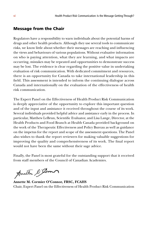### Message from the Chair

Regulators have a responsibility to warn individuals about the potential harms of drugs and other health products. Although they use several tools to communicate risks, we know little about whether their messages are reaching and influencing the views and behaviours of various populations. Without evaluative information on who is paying attention, what they are learning, and what impacts are occurring, mistakes may be repeated and opportunities to demonstrate success may be lost. The evidence is clear regarding the positive value in undertaking evaluation of risk communication. With dedicated commitment and resources, there is an opportunity for Canada to take international leadership in this field. This assessment is intended to inform the continuing dialogue across Canada and internationally on the evaluation of the effectiveness of health risk communication.

The Expert Panel on the Effectiveness of Health Product Risk Communication is deeply appreciative of the opportunity to explore this important question and of the input and assistance it received throughout the course of its work. Several individuals provided helpful advice and assistance early in the process. In particular, Matthew LeBrun, Scientific Evaluator, and Lisa Lange, Director, at the Health Products and Food Branch at Health Canada provided background on the work of the Therapeutic Effectiveness and Policy Bureau as well as guidance on the impetus for the report and scope of the assessment questions. The Panel also wishes to thank the report reviewers for making valuable suggestions for improving the quality and comprehensiveness of its work. The final report would not have been the same without their sage advice.

Finally, the Panel is most grateful for the outstanding support that it received from staff members of the Council of Canadian Academies.

Anath Stom

**Annette M. Cormier O'Connor, FRSC, FCAHS** Chair, Expert Panel on the Effectiveness of Health Product Risk Communication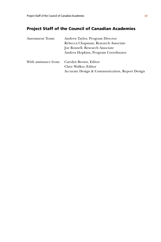## Project Staff of the Council of Canadian Academies

| <b>Assessment Team:</b> | Andrew Taylor, Program Director                |  |
|-------------------------|------------------------------------------------|--|
|                         | Rebecca Chapman, Research Associate            |  |
|                         | Joe Rowsell, Research Associate                |  |
|                         | Andrea Hopkins, Program Coordinator            |  |
|                         | With assistance from: Carolyn Brown, Editor    |  |
|                         | Clare Walker, Editor                           |  |
|                         | Accurate Design & Communication, Report Design |  |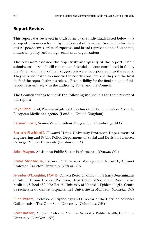## Report Review

This report was reviewed in draft form by the individuals listed below — a group of reviewers selected by the Council of Canadian Academies for their diverse perspectives, areas of expertise, and broad representation of academic, industrial, policy, and non-governmental organizations.

The reviewers assessed the objectivity and quality of the report. Their submissions — which will remain confidential — were considered in full by the Panel, and many of their suggestions were incorporated into the report. They were not asked to endorse the conclusions, nor did they see the final draft of the report before its release. Responsibility for the final content of this report rests entirely with the authoring Panel and the Council.

The Council wishes to thank the following individuals for their review of this report:

**Priya Bahri,** Lead, Pharmacovigilance Guidelines and Communication Research, European Medicines Agency (London, United Kingdom)

**Carmen Bozic,** Senior Vice President, Biogen Idec (Cambridge, MA)

**Baruch Fischhoff,** Howard Heinz University Professor, Department of Engineering and Public Policy, Department of Social and Decision Sciences, Carnegie Mellon University (Pittsburgh, PA)

**John Mayne,** Advisor on Public Sector Performance (Ottawa, ON)

**Steve Montague,** Partner, Performance Management Network; Adjunct Professor, Carleton University (Ottawa, ON)

**Jennifer O'Loughlin, FCAHS,** Canada Research Chair in the Early Determinants of Adult Chronic Disease; Professor, Department of Social and Preventative Medicine, School of Public Health, University of Montréal; Epidemiologist, Centre de recherche du Centre hospitalier de l'Université de Montréal (Montréal, QC)

**Ellen Peters,** Professor of Psychology and Director of the Decision Sciences Collaborative, The Ohio State University (Columbus, OH)

**Scott Ratzan,** Adjunct Professor, Mailman School of Public Health, Columbia University (New York, NY)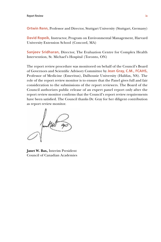**Ortwin Renn,** Professor and Director, Stuttgart University (Stuttgart, Germany)

**David Ropeik,** Instructor, Program on Environmental Management, Harvard University Extension School (Concord, MA)

**Sanjeev Sridharan,** Director, The Evaluation Centre for Complex Health Intervention, St. Michael's Hospital (Toronto, ON)

The report review procedure was monitored on behalf of the Council's Board of Governors and Scientific Advisory Committee by **Jean Gray, C.M., FCAHS,**  Professor of Medicine (Emeritus), Dalhousie University (Halifax, NS). The role of the report review monitor is to ensure that the Panel gives full and fair consideration to the submissions of the report reviewers. The Board of the Council authorizes public release of an expert panel report only after the report review monitor confirms that the Council's report review requirements have been satisfied. The Council thanks Dr. Gray for her diligent contribution as report review monitor.

**Janet W. Bax,** Interim President Council of Canadian Academies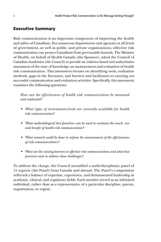## Executive Summary

Risk communication is an important component of improving the health and safety of Canadians. For numerous departments and agencies at all levels of government, as well as public and private organizations, effective risk communication can protect Canadians from preventable hazards. The Minister of Health, on behalf of Health Canada (the Sponsor), asked the Council of Canadian Academies (the Council) to provide an evidence-based and authoritative assessment of the state of knowledge on measurement and evaluation of health risk communication. This assessment focuses on identifying tools, evaluation methods, gaps in the literature, and barriers and facilitators to carrying out successful communication and evaluation activities. Specifically, this assessment examines the following questions:

*How can the effectiveness of health risk communications be measured and evaluated?*

- *• What types of instruments/tools are currently available for health risk communication?*
- *• What methodological best practices can be used to evaluate the reach, use and benefit of health risk communication?*
- *• What research could be done to inform the measurement of the effectiveness of risk communications?*
- *• What are the existing barriers to effective risk communications and what best practices exist to address these challenges?*

To address the charge, the Council assembled a multi-disciplinary panel of 11 experts (the Panel) from Canada and abroad. The Panel's composition reflected a balance of expertise, experience, and demonstrated leadership in academic, clinical, and regulatory fields. Each member served as an informed individual, rather than as a representative of a particular discipline, patron, organization, or region.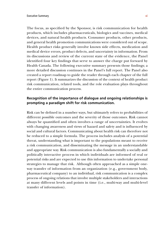The focus, as specified by the Sponsor, is risk communication for health products, which includes pharmaceuticals, biologics and vaccines, medical devices, and natural health products. Consumer products, other products, and general health promotion communications were considered out of scope. Health product risks generally involve known side effects, medication and medical device errors, product defects, and uncertainty in information. From its discussions and review of the current state of the evidence, the Panel identified four key findings that serve to answer the charge put forward by Health Canada. The following executive summary presents those findings; a more detailed discussion continues in the Panel's full report. The Panel also created a report roadmap to guide the reader through each chapter of the full report (Figure 1). It summarizes the discussion of the context of health product risk communication, related tools, and the role evaluation plays throughout the entire communication process.

## **Recognition of the importance of dialogue and ongoing relationships is prompting a paradigm shift for risk communication.**

Risk can be defined in a number ways, but ultimately refers to probabilities of different possible outcomes and the severity of those outcomes. Risk cannot always be quantified and often involves a range of uncertainties. It evolves with changing awareness and views of hazard and safety and is influenced by social and cultural factors. Communicating about health risk can therefore not be reduced to a simple formula. The process includes analysis of a potential threat, understanding what is important to the populations meant to receive a risk communication, and disseminating the message in an understandable and appropriate way. Risk communication is also fundamentally a socially and politically interactive process in which individuals are informed of real or potential risks and are expected to use this information to undertake personal strategies to manage that risk. Although often approached as a simple oneway transfer of information from an organization (e.g., government body, pharmaceutical company) to an individual, risk communication is a complex process of ongoing relations that involve multiple stakeholders and interactions at many different levels and points in time (i.e., multi-way and multi-level transfer of information).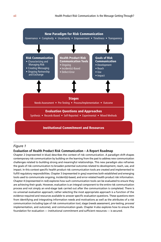

#### *Figure 1*

#### **Evaluation of Health Product Risk Communication – A Report Roadmap**

Chapter 2 (represented in blue) describes the context of risk communication. A paradigm shift shapes contemporary risk communication by building on the learning from the past to address new communication challenges related to building strong and meaningful relationships. This new paradigm also reframes the goals of risk communication to broaden potential outcomes related to development, reach, use, and impact. In this context specific health product risk communication tools are created and implemented to fulfill regulatory responsibilities. Chapter 3 (represented in grey) examines both established and emerging tools used to communicate ongoing, incident(s)-based, and error-related health product risk information. Chapter 4 (represented in red) explores how such communication tools can be evaluated to ensure they are achieving their goals. However, evaluation is an integral component to the entire risk communication process and not simply an end-stage task carried out after the communication is completed. There is no universal evaluation approach; rather selecting the most appropriate approach is a function of the evidence required and resources available to answer specific evaluation questions. These questions stem from identifying and integrating information needs and motivations as well as the attributes of a risk communication including type of risk communication tool, stage (needs assessment, pre-testing, process/ implementation, and outcome), and communication goals. Chapter 4 also explores how to ensure the foundation for evaluation — institutional commitment and sufficient resources — is secured.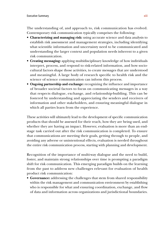The understanding of, and approach to, risk communication has evolved. Contemporary risk communication typically comprises the following:

- **Characterizing and managing risk:** using accurate science and data analysis to establish risk assessment and management strategies, including identifying what scientific information and uncertainty need to be communicated and understanding the larger context and population needs inherent to a given risk communication.
- **Creating messaging:** applying multidisciplinary knowledge of how individuals interpret, process, and respond to risk-related information, and how sociocultural factors shape those activities, to create messages that are understood and meaningful. A large body of research specific to health risk and the science of science communication can inform this process.
- **Ongoing partnership and exchange:** recognizing the influence and importance of broader societal factors to focus on communicating messages in a way that respects dialogue, exchange, and relationship-building. This can be fostered by understanding and appreciating the senders and receivers of information and other stakeholders, and ensuring meaningful dialogue in which all parties learn from the experience.

These activities will ultimately lead to the development of specific communication products that should be assessed for their reach, how they are being used, and whether they are having an impact. However, evaluation is more than an endstage task carried out after the risk communication is completed. To ensure that communications are meeting their goals, getting through to people, and avoiding any adverse or unintentional effects, evaluation is needed throughout the entire risk communication process, starting with planning and development.

Recognition of the importance of multi-way dialogue and the need to build, foster, and maintain strong relationships over time is prompting a paradigm shift for risk communication. This emerging paradigm builds on the learning from the past to address new challenges relevant for evaluation of health product risk communication:

• **Governance:** addressing the challenges that stem from shared responsibility within the risk management and communication environment by establishing who is responsible for what and ensuring coordination, exchange, and flow of data and information across organizations and jurisdictional boundaries.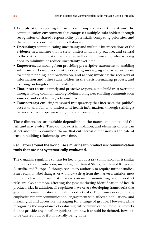- **Complexity:** navigating the inherent complexities of the risk and the communication environment that comprises multiple stakeholders through recognition of shared responsibility, potentially competing priorities, and the need for coordination and collaboration.
- **Uncertainty:** communicating uncertainty and multiple interpretations of the evidence in a manner that is clear, understandable, proactive, and central to the risk communication at hand as well as communicating what is being done to minimize or reduce uncertainty over time.
- **Empowerment:** moving from providing prescriptive statements to enabling solutions and empowerment by creating messaging that is appropriate for understanding, comprehension, and action; involving the receivers of information and other stakeholders in the decision-making process; and focusing on long-term relationships.
- **Timeliness:** ensuring timely and proactive responses that build trust over time through having communication guidelines, using new enabling communication sources, and establishing relationships.
- **Transparency:** ensuring reasoned transparency that increases the public's access to and ability to understand health information, through striking a balance between openness, urgency, and confidentiality.

These dimensions are variable depending on the nature and context of the risk and may evolve. They do not exist in isolation, and elements of one can affect another. A common theme that cuts across dimensions is the role of trust in building relationships over time.

## **Regulators around the world use similar health product risk communication tools that are not systematically evaluated.**

The Canadian regulatory context for health product risk communication is similar to that in other jurisdictions, including the United States, the United Kingdom, Australia, and Europe. Although regulatory authority to require further studies, issue recalls or label changes, or withdraw a drug from the market is variable, most regulators have such authority. Passive systems for monitoring health product risks are also common, affecting the post-marketing identification of health product risks. In addition, all regulators have or are developing frameworks that guide the communication of health product risks. The frameworks generally emphasize two-way communication, engagement with affected populations, and meaningful and accessible messaging for a range of groups. However, while recognizing the importance of evaluating risk communication, most frameworks do not provide any detail or guidance on how it should be defined, how it is to be carried out, or if it is actually being done.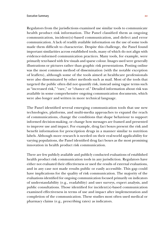Regulators from the jurisdictions examined use similar tools to communicate health product risk information. The Panel classified them as ongoing communication, incident(s)-based communication, and defect and error communication. A lack of readily available information on the use of some tools made them difficult to characterize. Despite this challenge, the Panel found important similarities across established tools, many of which do not align with evidence-informed communication practices. Many tools, for example, were primarily text-based with few visuals and sparse colour. Images used were generally illustrations or pictures rather than graphic risk presentations. Posting online was the most common method of dissemination (with the notable exception of leaflets), although some of the tools aimed at healthcare professionals were also disseminated by other methods such as mail. Most of the tools that targeted the public often did not quantify risk, instead using vague terms such as "increased risk," "rare," or "chance of." Detailed information about risk was available in some comprehensive ongoing communication documents, which were also longer and written in more technical language.

The Panel identified several emerging communication tools that use new technologies, platforms, and multi-media approaches to expand the reach of communications, change the conditions that shape behaviour to support informed decision-making, or change how messages are framed and presented to improve use and impact. For example, drug fact boxes present the risk and benefit information for prescription drugs in a manner similar to nutrition labels. Although more research is needed on their real-world applicability for varying populations, the Panel identified drug fact boxes as the most promising innovation in health product risk communication.

There are few publicly available and publicly conducted evaluations of established health product risk communication tools in any jurisdiction. Regulators have either not evaluated their effectiveness or used the results of external evaluations, and in any case not made results public or easily accessible. This gap could have implications for the quality of risk communication. The majority of the evaluations identified for ongoing communication focused primarily on indicators of understandability (e.g., readability) and user surveys, expert analysis, and public consultations. Those identified for incident(s)-based communication examined effectiveness in terms of use and impact after implementation and completion of the communication. These studies most often used medical or pharmacy claims (e.g., prescribing rates) as indicators.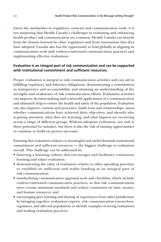Given the similarities in regulatory contexts and communication tools, it is not surprising that Health Canada's challenges in evaluating and enhancing health product risk communication are common. Health Canada can benefit from the lessons learned by other regulators and from innovations that they have adopted. Canada also has the opportunity to lead globally in aligning its communication tools with evidence-informed communication practices and implementing effective evaluations.

## **Evaluation is an integral part of risk communication and can be supported with institutional commitment and sufficient resources.**

Proper evaluation is integral to risk communication activities and can aid in fulfilling regulatory and fiduciary obligations, demonstrating a commitment to transparency and accountability, and attaining an understanding of the strengths and weaknesses of risk communication efforts. Evaluation activities can improve decision-making and real-world applications of a communication and ultimately help to ensure the health and safety of the population. Evaluation can also improve content and processes, build trust and relationships, assess whether communications have achieved their objectives, and identify who is paying attention, what they are learning, and what impacts are occurring across a range of different groups. Without adequate evaluation, not only is there potential for mistakes, but there is also the risk of missing opportunities to continue or build on proven successes.

Ensuring that evaluation evidence is meaningful and useful demands institutional commitment and sufficient resources — the biggest challenge to evaluation overall. This challenge can be addressed by:

- fostering a learning culture that encourages and facilitates continuous learning and values evaluation;
- demonstrating the value of evaluation relative to other spending priorities to establish its sufficient and stable funding as an integral part of risk communication;
- standardizing communication appraisal tools and checklists, which include evidence-informed communication practices, so that risk communications meet certain minimum standards and reduce constraints on time, money, and human resources; and
- encouraging peer learning and sharing of experiences from other jurisdictions by bringing together evaluation experts, risk communication researchers, regulators, and affected populations to identify examples of strong evaluations and leading evaluation practices.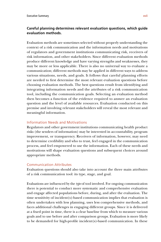## **Careful planning determines relevant evaluation questions, which guide evaluation methods.**

Evaluation methods are sometimes selected without properly understanding the context of a risk communication and the information needs and motivations of regulators and government institutions communicating risk, receivers of risk information, and other stakeholders. Since different evaluation methods produce different knowledge and have varying strengths and weaknesses, they may be more or less applicable. There is also no universal way to evaluate a communication; different methods may be applied in different ways to address various situations, needs, and goals. It follows that careful planning efforts are needed to first determine the most relevant evaluation questions before choosing evaluation methods. The best questions result from identifying and integrating information needs and the attributes of a risk communication tool, including the communication goals. Selecting an evaluation method then becomes a function of the evidence required to answer an evaluation question and the level of available resources. Evaluation conducted on this premise and involving relevant stakeholders will reveal the most relevant and meaningful information.

### Information Needs and Motivations

Regulators and other government institutions communicating health product risks (the senders of information) may be interested in accountability, program improvement, or transparency. Receivers of information, however, may need to determine credibility and who to trust, feel engaged in the communication process, and feel empowered to use the information. Each of these needs and motivations will shape evaluation questions and subsequent choices around appropriate methods.

#### Communication Attributes

Evaluation questions should also take into account the three main attributes of a risk communication tool: its type, stage, and goal.

Evaluations are influenced by the *type* of tool involved. For ongoing communication there is potential to conduct more systematic and comprehensive evaluation and engage affected populations before, during, and after the evaluation. The time sensitivity of incident(s)-based communication implies that evaluation is often undertaken with less planning, uses less comprehensive methods, and faces additional challenges in engaging different groups. Since it is delivered at a fixed point in time, there is a clear baseline from which to measure various goals and to use before and after comparison groups. Evaluation is more likely to be demanded for high-profile incident(s)-based communication. In these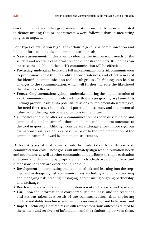cases, regulators and other government institutions may be more interested in demonstrating that proper processes were followed than in measuring long-term impacts.

Four types of evaluation highlight certain *stages* of risk communication and link to information needs and communication goals:

- **• Needs assessment:** undertaken to identify the information needs of the senders and receivers of information and other stakeholders. Its findings can increase the likelihood that a risk communication will be effective.
- **Pre-testing:** undertaken before the full implementation of a risk communication to preliminarily test the feasibility, appropriateness, and effectiveness of the identified communication tool in sub-groups. Its findings can lead to changes to the communication, which will further increase the likelihood that it will be effective.
- **Process/Implementation:** typically undertaken during the implementation of a risk communication to provide evidence that it is progressing as planned. Its findings provide insight into potential revisions to implementation strategies, the need for reassessing goals and potential outcomes, and the potential value in conducting outcome evaluations in the future.
- **Outcome:** conducted after a risk communication has been disseminated and completed to link meaningful short-, medium-, and long-term outcomes to the tool in question. Although considered end-stage efforts, more rigorous evaluations usually establish a baseline prior to the implementation of the communication followed by ongoing measurement.

Different types of evaluation should be undertaken for different risk communication *goals*. These goals will ultimately align with information needs and motivations as well as other communication attributes to shape evaluation questions and determine appropriate methods. Goals are defined here and dimensions for each are described in Table 1:

- **Development**  incorporating evaluation methods and learning into the steps involved in designing risk communications, including when characterizing and managing risk, creating messaging, and ensuring ongoing partnership and exchange;
- **Reach**  how and when the communication is sent and received and by whom;
- **Use** how the information is considered, its timeliness, and the reactions and actions taken as a result of the communication, thus exploring understandability, timeliness, informed decision-making, and behaviour; and
- **Impact**  achieving a desired result with respect to various outcomes related to the senders and receivers of information and the relationship between them.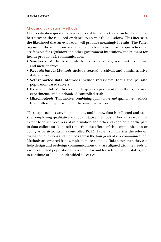## Choosing Evaluation Methods

Once evaluation questions have been established, methods can be chosen that best provide the required evidence to answer the questions. This increases the likelihood that an evaluation will produce meaningful results. The Panel organized the numerous available methods into five broad approaches that are feasible for regulators and other government institutions and relevant for health product risk communication:

- **Synthesis:** Methods include literature reviews, systematic reviews, and meta-analyses.
- **Records-based:** Methods include textual, archival, and administrative data analysis.
- **Self-reported data:** Methods include interviews, focus groups, and population-based surveys.
- **Experimental:** Methods include quasi-experimental methods, natural experiments, and randomized controlled trials.
- **Mixed methods:** This involves combining quantitative and qualitative methods from different approaches in the same evaluation.

These approaches vary in complexity and in how data is collected and used (i.e., employing qualitative and quantitative methods). They also vary in the extent to which receivers of information and other stakeholders participate in data collection (e.g., self-reporting the effects of risk communication or acting as participants in a controlled RCT). Table 1 summarizes the relevant evaluation questions and methods across the four goals of risk communication. Methods are ordered from simple to more complex. Taken together, they can help design and re-design communications that are aligned with the needs of various affected populations, to account for and learn from past mistakes, and to continue or build on identified successes.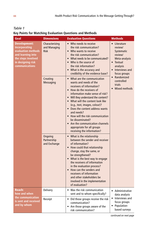| r.<br>٠<br>۰, |  |
|---------------|--|
|---------------|--|

## **Key Points for Matching Evaluation Questions and Methods**

| Goal                                                                                                                                         | <b>Dimensions</b>                             | <b>Evaluation Questions</b>                                                                                                                                                                                                                                                                                                                                                                                                                                             | <b>Methods</b>                                                                                                                                                                        |
|----------------------------------------------------------------------------------------------------------------------------------------------|-----------------------------------------------|-------------------------------------------------------------------------------------------------------------------------------------------------------------------------------------------------------------------------------------------------------------------------------------------------------------------------------------------------------------------------------------------------------------------------------------------------------------------------|---------------------------------------------------------------------------------------------------------------------------------------------------------------------------------------|
| <b>Development:</b><br>incorporating<br>evaluation methods<br>and learning into<br>the steps involved<br>in designing risk<br>communications | Characterizing<br>and Managing<br><b>Risk</b> | • Who needs to receive<br>the risk communication?<br>• Who wants to receive<br>the risk communication?<br>What needs to be communicated?<br>Who is the source of<br>$\bullet$<br>the risk information?<br>• What is the accuracy and<br>credibility of the evidence base?                                                                                                                                                                                               | • Literature<br>review/<br>Systematic<br>review/<br>Meta-analysis<br>• Textual<br>analysis<br>Interviews and<br>focus groups<br>• Randomized<br>controlled<br>trials<br>Mixed methods |
|                                                                                                                                              | Creating<br><b>Messaging</b>                  | • What are the communication<br>wants and needs of the<br>receivers of information?<br>• How do the receivers of<br>information make sense of risk?<br>• Will they understand the content?<br>• What will the content look like<br>(e.g., text, images, colour)?<br>• Does the content address wants<br>and needs?<br>How will the risk communication<br>be disseminated?<br>Are the communication channels<br>appropriate for all groups<br>receiving the information? |                                                                                                                                                                                       |
|                                                                                                                                              | Ongoing<br>Partnership<br>and Exchange        | • What is the relationship<br>between the sender and receiver<br>of information?<br>How could that relationship<br>$\bullet$<br>change, stay the same, or<br>be strengthened?<br>• What is the best way to engage<br>the receivers of information<br>in the evaluation process?<br>• How can the senders and<br>receivers of information<br>and other stakeholders be<br>involved in the implementation<br>of evaluation?                                               |                                                                                                                                                                                       |
| <b>Reach:</b><br>how and when<br>the communication<br>is sent and received<br>and by whom                                                    | Delivery                                      | Was the risk communication<br>sent and to whom specifically?                                                                                                                                                                                                                                                                                                                                                                                                            | • Administrative<br>data analysis<br>• Interviews and<br>focus groups<br>Population-<br>based surveys                                                                                 |
|                                                                                                                                              | Receipt                                       | • Did those groups receive the risk<br>communication?<br>• Are those groups aware of the<br>risk communication?                                                                                                                                                                                                                                                                                                                                                         |                                                                                                                                                                                       |

*continued on next page*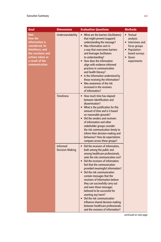| Goal                                                                                                                                                 | <b>Dimensions</b>                         | <b>Evaluation Questions</b>                                                                                                                                                                                                                                                                                                                                                                                                                                                                                                                                                                                                  | <b>Methods</b>                                                                                                         |
|------------------------------------------------------------------------------------------------------------------------------------------------------|-------------------------------------------|------------------------------------------------------------------------------------------------------------------------------------------------------------------------------------------------------------------------------------------------------------------------------------------------------------------------------------------------------------------------------------------------------------------------------------------------------------------------------------------------------------------------------------------------------------------------------------------------------------------------------|------------------------------------------------------------------------------------------------------------------------|
| Use:<br>how the<br>information is<br>considered, its<br>timeliness, and<br>the reactions and<br>actions taken as<br>a result of the<br>communication | Understandability                         | • What are the barriers (facilitators)<br>that might prevent (support)<br>understanding the message?<br>• Was information sent in<br>a way that overcomes barriers<br>and leverages facilitators<br>to understanding?<br>How does the information<br>align with evidence-informed<br>practices in communication<br>and health literacy?<br>Is the information understood by<br>those receiving the information?<br>• Was awareness of the risk<br>increased in the receivers<br>of information?                                                                                                                              | • Textual<br>analysis<br>• Interviews and<br>focus groups<br>• Population-<br>based surveys<br>• Quasi-<br>experiments |
|                                                                                                                                                      | <b>Timeliness</b>                         | • How much time has elapsed<br>between identification and<br>dissemination?<br>• What is the justification for this<br>amount of time and is it based<br>on reasonable grounds?<br>• Did the senders and receivers<br>of information and other<br>stakeholder groups consider<br>the risk communication timely to<br>inform their decision-making and<br>behaviour? How do expectations<br>compare across these groups?                                                                                                                                                                                                      |                                                                                                                        |
|                                                                                                                                                      | <b>Informed</b><br><b>Decision-Making</b> | Did the receivers of information,<br>both among the public and<br>among healthcare professionals,<br>seek the risk communication out?<br>• Did the receivers of information<br>feel that the communication<br>provided meaningful information?<br>• Did the risk communication<br>contain messages that the<br>receivers of information believe<br>they can successfully carry out<br>and were those messages<br>believed to be successful for<br>averting any harm?<br>Did the risk communication<br>$\bullet$<br>influence shared decision-making<br>between healthcare professionals<br>and the receivers of information? |                                                                                                                        |

*continued on next page*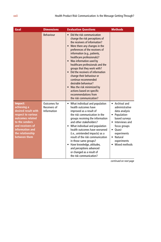| Goal                                                                                                                                                                                 | <b>Dimensions</b>                           | <b>Evaluation Questions</b>                                                                                                                                                                                                                                                                                                                                                                                                                                                                                                                                                                                     | <b>Methods</b>                                                                                                                                                                                                                   |
|--------------------------------------------------------------------------------------------------------------------------------------------------------------------------------------|---------------------------------------------|-----------------------------------------------------------------------------------------------------------------------------------------------------------------------------------------------------------------------------------------------------------------------------------------------------------------------------------------------------------------------------------------------------------------------------------------------------------------------------------------------------------------------------------------------------------------------------------------------------------------|----------------------------------------------------------------------------------------------------------------------------------------------------------------------------------------------------------------------------------|
|                                                                                                                                                                                      | <b>Behaviour</b>                            | Did the risk communication<br>$\bullet$<br>change the risk perceptions of<br>the receivers of information?<br>Were there any changes in the<br>preferences of the receivers of<br>information (e.g., patients,<br>healthcare professionals)?<br>Was information used by<br>$\bullet$<br>healthcare professionals and the<br>groups that they work with?<br>Did the receivers of information<br>$\bullet$<br>change their behaviour or<br>continue recommended<br>desirable behaviour?<br>Was the risk minimized by<br>$\bullet$<br>actions based on specific<br>recommendations from<br>the risk communication? |                                                                                                                                                                                                                                  |
| Impact:<br>achieving a<br>desired result with<br>respect to various<br>outcomes related<br>to the senders<br>and receivers of<br>information and<br>the relationship<br>between them | Outcomes for<br>Receivers of<br>Information | • What individual and population<br>health outcomes have<br>improved as a result of<br>the risk communication in the<br>groups receiving the information<br>and other stakeholders?<br>• What individual and population<br>health outcomes have worsened<br>(i.e., unintended impacts) as a<br>result of the risk communication<br>in those same groups?<br>Have knowledge, attitudes,<br>$\bullet$<br>and perceptions advanced<br>or changed as a result of<br>the risk communication?                                                                                                                         | • Archival and<br>administrative<br>data analysis<br>Population-<br>$\bullet$<br>based surveys<br>• Interviews and<br>focus groups<br>Quasi-<br>$\bullet$<br>experiments<br>Natural<br>$\bullet$<br>experiments<br>Mixed methods |

*continued on next page*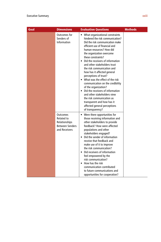| Goal | <b>Dimensions</b>                                                                         | <b>Evaluation Questions</b>                                                                                                                                                                                                                                                                                                                                                                                                                                                                                                                                                                                                                                                | <b>Methods</b> |
|------|-------------------------------------------------------------------------------------------|----------------------------------------------------------------------------------------------------------------------------------------------------------------------------------------------------------------------------------------------------------------------------------------------------------------------------------------------------------------------------------------------------------------------------------------------------------------------------------------------------------------------------------------------------------------------------------------------------------------------------------------------------------------------------|----------------|
|      | Outcomes for<br>Senders of<br>Information                                                 | • What organizational constraints<br>hindered the risk communication?<br>Did the risk communication make<br>efficient use of financial and<br>human resources? How did<br>the organization overcome<br>these constraints?<br>• Did the receivers of information<br>and other stakeholders trust<br>the risk communication and<br>how has it affected general<br>perceptions of trust?<br>• What was the effect of the risk<br>communication on the credibility<br>of the organization?<br>• Did the receivers of information<br>and other stakeholders view<br>the risk communication as<br>transparent and how has it<br>affected general perceptions<br>of transparency? |                |
|      | <b>Outcomes</b><br>Related to<br>Relationships<br><b>Between Senders</b><br>and Receivers | Were there opportunities for<br>٠<br>those receiving information and<br>other stakeholders to provide<br>feedback? How were affected<br>populations and other<br>stakeholders engaged?<br>• Did the sender of information<br>receive that feedback and<br>make use of it to improve<br>the risk communication?<br>• Did receivers of information<br>feel empowered by the<br>risk communication?<br>• How has the risk<br>communication contributed<br>to future communications and<br>opportunities for cooperation?                                                                                                                                                      |                |